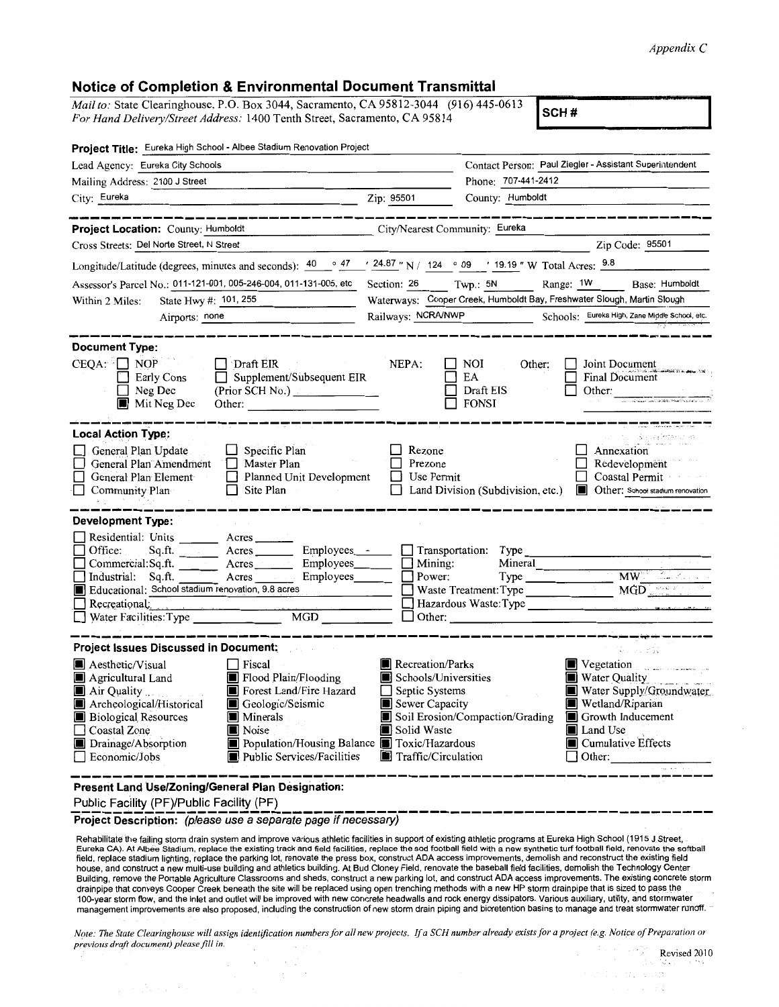## *Appendix* C

## **Notice of Completion & Environmental Document Transmittal**

*Mail to:* State Clearinghouse, P.O. Box 3044, Sacramento, CA 95812-3044 (916) 445-0613 *For Hand Delivery/Street Address:* 1400 Tenth Street, Sacramento, CA 95814 **SCH # SCH #** 

| Project Title: Eureka High School - Albee Stadium Renovation Project                                                                                                                                                                                                                                                                                                                    |                                                                                                                                                |                                                                                                                                                                                                                                                                                                                                                                                                                                  |  |
|-----------------------------------------------------------------------------------------------------------------------------------------------------------------------------------------------------------------------------------------------------------------------------------------------------------------------------------------------------------------------------------------|------------------------------------------------------------------------------------------------------------------------------------------------|----------------------------------------------------------------------------------------------------------------------------------------------------------------------------------------------------------------------------------------------------------------------------------------------------------------------------------------------------------------------------------------------------------------------------------|--|
| Lead Agency: Eureka City Schools                                                                                                                                                                                                                                                                                                                                                        |                                                                                                                                                | Contact Person: Paul Ziegler - Assistant Superintendent                                                                                                                                                                                                                                                                                                                                                                          |  |
| Mailing Address: 2100 J Street                                                                                                                                                                                                                                                                                                                                                          |                                                                                                                                                | Phone: 707-441-2412                                                                                                                                                                                                                                                                                                                                                                                                              |  |
| City: Eureka                                                                                                                                                                                                                                                                                                                                                                            | Zip: 95501                                                                                                                                     | County: Humboldt                                                                                                                                                                                                                                                                                                                                                                                                                 |  |
|                                                                                                                                                                                                                                                                                                                                                                                         |                                                                                                                                                |                                                                                                                                                                                                                                                                                                                                                                                                                                  |  |
| Project Location: County: Humboldt<br>City/Nearest Community: Eureka                                                                                                                                                                                                                                                                                                                    |                                                                                                                                                |                                                                                                                                                                                                                                                                                                                                                                                                                                  |  |
| Cross Streets: Del Norte Street, N Street                                                                                                                                                                                                                                                                                                                                               |                                                                                                                                                | Zip Code: 95501                                                                                                                                                                                                                                                                                                                                                                                                                  |  |
| Longitude/Latitude (degrees, minutes and seconds): $\frac{40}{ }$ $\frac{9}{ }$ $\frac{47}{ }$                                                                                                                                                                                                                                                                                          |                                                                                                                                                | $\prime$ 24.87 " N / 124 $\circ$ 09 $\prime$ 19.19 " W Total Acres: $\frac{9.8}{9.6}$                                                                                                                                                                                                                                                                                                                                            |  |
| Assessor's Parcel No.: 011-121-001, 005-246-004, 011-131-005, etc                                                                                                                                                                                                                                                                                                                       | Section: 26                                                                                                                                    | Range: 1W<br>Twp.: 5N<br>Base: Humboldt                                                                                                                                                                                                                                                                                                                                                                                          |  |
| State Hwy #: 101, 255<br>Within 2 Miles:                                                                                                                                                                                                                                                                                                                                                | Waterways: Cooper Creek, Humboldt Bay, Freshwater Slough, Martin Slough                                                                        |                                                                                                                                                                                                                                                                                                                                                                                                                                  |  |
| Airports: none                                                                                                                                                                                                                                                                                                                                                                          | Railways: NCRA/NWP<br>Schools: Eureka High, Zane Middle School, etc.                                                                           |                                                                                                                                                                                                                                                                                                                                                                                                                                  |  |
| <b>Document Type:</b><br>CEQA: □ NOP<br>Draft EIR<br>Early Cons<br>Supplement/Subsequent EIR<br>$\Box$ Neg Dec<br>(Prior SCH No.)<br>Mit Neg Dec<br>Other:                                                                                                                                                                                                                              | NEPA:                                                                                                                                          | NOI<br>Other:<br>Joint Document<br>Final Document<br>EA<br>Draft EIS<br>Other:<br><b>FONSI</b>                                                                                                                                                                                                                                                                                                                                   |  |
| <b>Local Action Type:</b><br>General Plan Update<br>$\Box$ Specific Plan<br>General Plan Amendment<br>Master Plan<br>Planned Unit Development<br>General Plan Element<br>$\Box$ Site Plan<br>Community Plan                                                                                                                                                                             | Rezone<br>Prezone<br>$\Box$ Use Permit                                                                                                         | $\langle \hat{\mathbf{S}}^{\dagger}, \mathbf{S}^{\dagger}_{\mathbf{S}}, \mathbf{S}^{\dagger}_{\mathbf{S}} \rangle \mathbf{I}^{\dagger} \hat{I}^{\dagger} \hat{I}^{\dagger} \hat{\mathbf{S}}^{\dagger} \hat{I}^{\dagger} \hat{I}^{\dagger} \hat{I}^{\dagger} \hat{I}^{\dagger} \hat{I}^{\dagger}$<br>Annexation<br>Redevelopment<br>Coastal Permit<br>Land Division (Subdivision, etc.) <b>I</b> Other: School stadium renovation |  |
| <b>Development Type:</b>                                                                                                                                                                                                                                                                                                                                                                |                                                                                                                                                |                                                                                                                                                                                                                                                                                                                                                                                                                                  |  |
| Residential: Units _______ Acres ___<br>Office:<br>Acres Employees - Transportation: Type<br>Sq.ft.<br>Commercial: Sq.ft.<br>Employees________<br>Acres<br>Employees<br>Industrial: Sq.ft.<br>Acres<br>Educational: School stadium renovation, 9.8 acres<br>and the state of the<br>Recreational:<br>Water Facilities: Type<br><b>MGD</b>                                               | $\blacksquare$ Mining:<br>Power:<br>$\Box$ Other:                                                                                              | Mineral<br>MW 2. Com<br>Type<br>MGD<br>Waste Treatment: Type<br><u> 1999 - John Barn Barns</u><br>Hazardous Waste: Type                                                                                                                                                                                                                                                                                                          |  |
| <b>Project Issues Discussed in Document:</b>                                                                                                                                                                                                                                                                                                                                            |                                                                                                                                                | Collecti 20                                                                                                                                                                                                                                                                                                                                                                                                                      |  |
| Aesthetic/Visual<br>$\Box$ Fiscal<br>Flood Plain/Flooding<br>Agricultural Land<br>Forest Land/Fire Hazard<br>Air Quality<br>Geologic/Seismic<br>Archeological/Historical<br><b>Biological Resources</b><br><b>I</b> Minerals<br>Coastal Zone<br>Noise<br>Population/Housing Balance Toxic/Hazardous<br>Drainage/Absorption<br>Public Services/Facilities<br>Economic/Jobs               | <b>Recreation/Parks</b><br>Schools/Universities<br>Septic Systems<br>ΕI<br>Sewer Capacity<br>Solid Waste<br>$\blacksquare$ Traffic/Circulation | Vegetation Property of the Second Property of the Second Property of the Second Property of the Second Property of the Second Property of the Second Property of the Second Property of the Second Property of the Second Prop<br>Water Quality<br>Water Supply/Groundwater<br>Wetland/Riparian<br>Soil Erosion/Compaction/Grading<br>Growth Inducement<br>Land Use<br>Cumulative Effects<br>$\Box$ Other:                       |  |
| Present Land Use/Zoning/General Plan Designation:<br>$\mathbf{E}$ $\mathbf{E}$ $\mathbf{E}$ $\mathbf{E}$ $\mathbf{E}$ $\mathbf{E}$ $\mathbf{E}$ $\mathbf{E}$ $\mathbf{E}$ $\mathbf{E}$ $\mathbf{E}$ $\mathbf{E}$ $\mathbf{E}$ $\mathbf{E}$ $\mathbf{E}$ $\mathbf{E}$ $\mathbf{E}$ $\mathbf{E}$ $\mathbf{E}$ $\mathbf{E}$ $\mathbf{E}$ $\mathbf{E}$ $\mathbf{E}$ $\mathbf{E}$ $\mathbf{$ |                                                                                                                                                |                                                                                                                                                                                                                                                                                                                                                                                                                                  |  |

**Public Facility (PF)/Public Facility (PF)** 

Project Description: (please use a separate page if necessary)

Rehabilitate the failing storm drain system and improve various athletic facilities in support of existing athletic programs at Eureka High School (1915 J Street, Eureka CA). At Albee Stadium, replace the existing track and field facilities, replace the sod football field with a new synthetic turf football field, renovate the softball<br>field, replace stadium lighting, replace the par house, and construct a new multi-use building and athletics building. At Bud Cloney Field, renovate the baseball field facilities, demolish the Technology Center Building, remove the Portable Agriculture Classrooms and sheds, construct a new parking lot, and construct ADA access improvements. The existing concrete storm drainpipe that conveys Cooper Creek beneath the site will be replaced using open trenching methods with a new HP storm drainpipe that is sized to pass the 100-year storm flow, and the inlet and outlet will be improved with new concrete headwalls and rock energy dissipators. Various auxiliary, utility, and stormwater management improvements are also proposed, including the construction of new storm drain piping and bioretention basins to manage and treat stormwater runoff.

Note: The State Clearinghouse will assign identification numbers for all new projects. If a SCH number already exists for a project (e.g. Notice of Preparation or *previous draft document) please fill in.* 

is de sula уź.